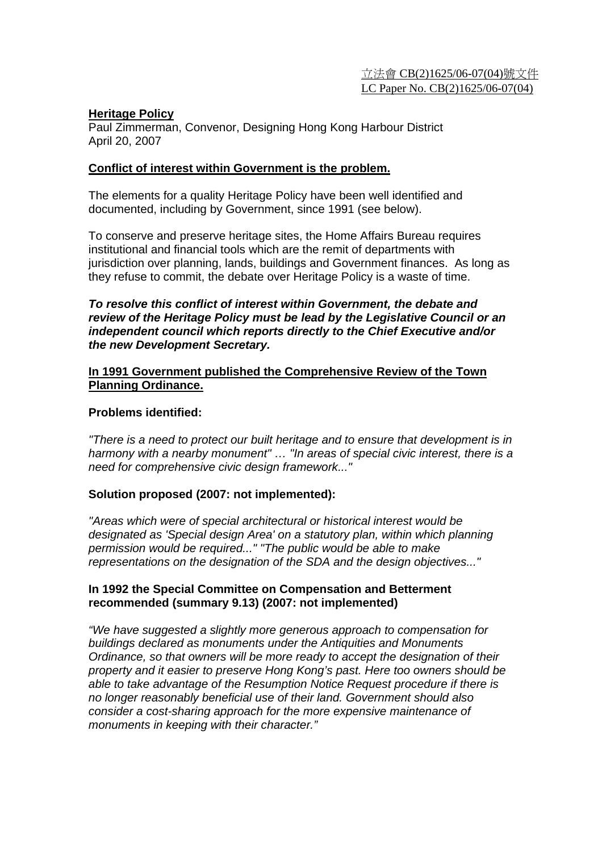#### **Heritage Policy**

Paul Zimmerman, Convenor, Designing Hong Kong Harbour District April 20, 2007

#### **Conflict of interest within Government is the problem.**

The elements for a quality Heritage Policy have been well identified and documented, including by Government, since 1991 (see below).

To conserve and preserve heritage sites, the Home Affairs Bureau requires institutional and financial tools which are the remit of departments with jurisdiction over planning, lands, buildings and Government finances. As long as they refuse to commit, the debate over Heritage Policy is a waste of time.

### *To resolve this conflict of interest within Government, the debate and review of the Heritage Policy must be lead by the Legislative Council or an independent council which reports directly to the Chief Executive and/or the new Development Secretary.*

### **In 1991 Government published the Comprehensive Review of the Town Planning Ordinance.**

### **Problems identified:**

*"There is a need to protect our built heritage and to ensure that development is in harmony with a nearby monument" … "In areas of special civic interest, there is a need for comprehensive civic design framework..."* 

## **Solution proposed (2007: not implemented):**

*"Areas which were of special architectural or historical interest would be designated as 'Special design Area' on a statutory plan, within which planning permission would be required..." "The public would be able to make representations on the designation of the SDA and the design objectives..."* 

### **In 1992 the Special Committee on Compensation and Betterment recommended (summary 9.13) (2007: not implemented)**

*"We have suggested a slightly more generous approach to compensation for buildings declared as monuments under the Antiquities and Monuments Ordinance, so that owners will be more ready to accept the designation of their property and it easier to preserve Hong Kong's past. Here too owners should be able to take advantage of the Resumption Notice Request procedure if there is no longer reasonably beneficial use of their land. Government should also consider a cost-sharing approach for the more expensive maintenance of monuments in keeping with their character."*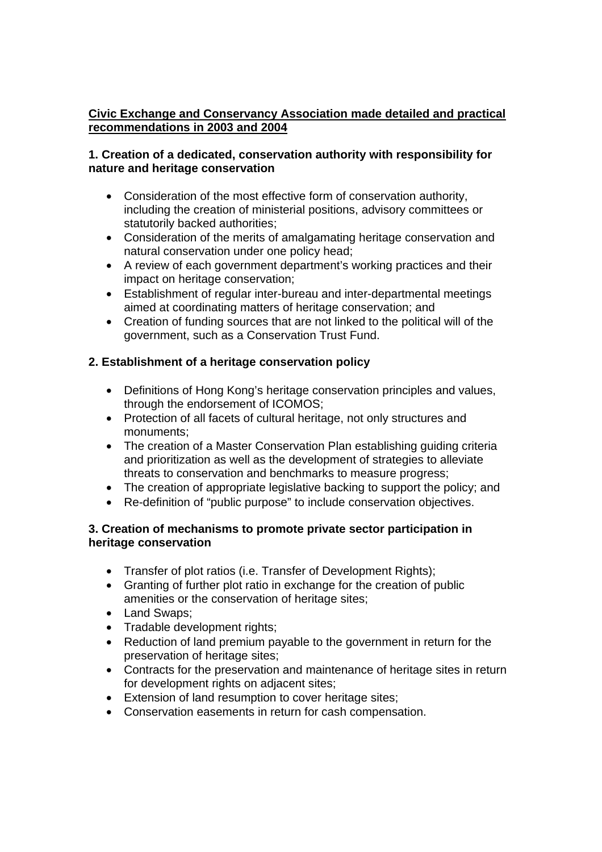# **Civic Exchange and Conservancy Association made detailed and practical recommendations in 2003 and 2004**

## **1. Creation of a dedicated, conservation authority with responsibility for nature and heritage conservation**

- Consideration of the most effective form of conservation authority, including the creation of ministerial positions, advisory committees or statutorily backed authorities;
- Consideration of the merits of amalgamating heritage conservation and natural conservation under one policy head;
- A review of each government department's working practices and their impact on heritage conservation;
- Establishment of regular inter-bureau and inter-departmental meetings aimed at coordinating matters of heritage conservation; and
- Creation of funding sources that are not linked to the political will of the government, such as a Conservation Trust Fund.

# **2. Establishment of a heritage conservation policy**

- Definitions of Hong Kong's heritage conservation principles and values, through the endorsement of ICOMOS;
- Protection of all facets of cultural heritage, not only structures and monuments;
- The creation of a Master Conservation Plan establishing quiding criteria and prioritization as well as the development of strategies to alleviate threats to conservation and benchmarks to measure progress;
- The creation of appropriate legislative backing to support the policy; and
- Re-definition of "public purpose" to include conservation objectives.

## **3. Creation of mechanisms to promote private sector participation in heritage conservation**

- Transfer of plot ratios (i.e. Transfer of Development Rights);
- Granting of further plot ratio in exchange for the creation of public amenities or the conservation of heritage sites;
- Land Swaps;
- Tradable development rights:
- Reduction of land premium payable to the government in return for the preservation of heritage sites;
- Contracts for the preservation and maintenance of heritage sites in return for development rights on adjacent sites;
- Extension of land resumption to cover heritage sites;
- Conservation easements in return for cash compensation.